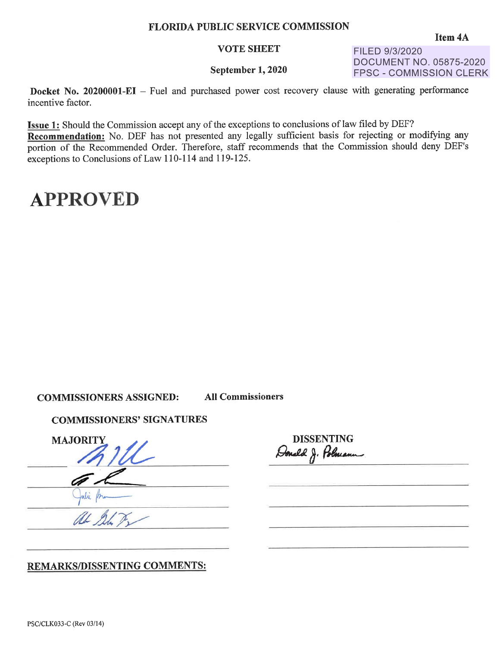### **FLORIDA PUBLIC SERVICE COMMISSION**

#### **VOTE SHEET**

FILED 9/3/2020 DOCUMENT NO. 05875-2020 FPSC - COMMISSION CLERK

#### **September 1, 2020**

**Docket No. 20200001-EI** - Fuel and purchased power cost recovery clause with generating performance incentive factor.

**Issue 1:** Should the Commission accept any of the exceptions to conclusions of law filed by DEF? **Recommendation:** No. DEF has not presented any legally sufficient basis for rejecting or modifying any portion of the Recommended Order. Therefore, staff recommends that the Commission should deny DEF's exceptions to Conclusions of Law 110-114 and 119-125.

## **APPROVED**

### **COMMISSIONERS ASSIGNED: All Commissioners**

### **COMMISSIONERS' SIGNATURES**

MAJORITY 1U

**DISSENTING**  Donald J. Polmann

### **REMARKSillISSENTING COMMENTS:**